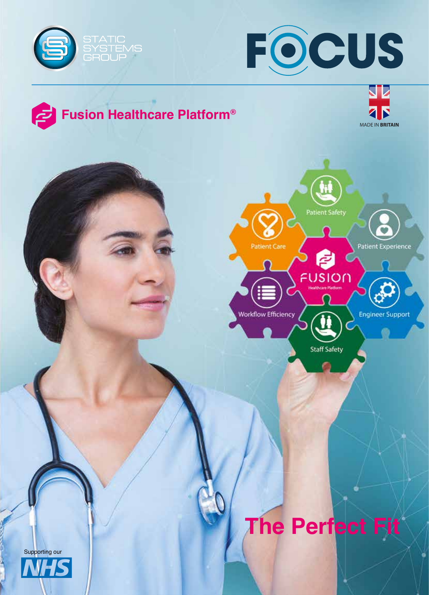



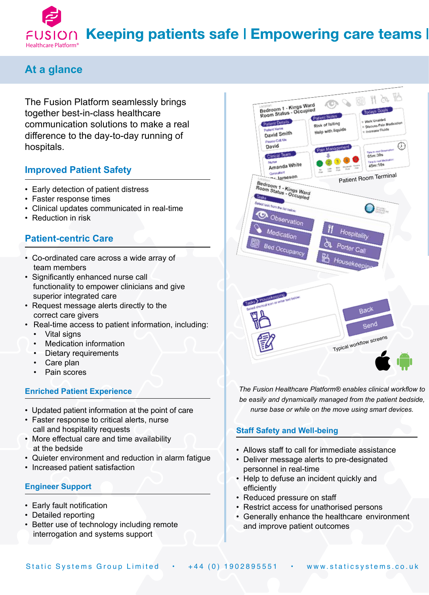

#### **At a glance**

The Fusion Platform seamlessly brings together best-in-class healthcare communication solutions to make a real difference to the day-to-day running of hospitals.

#### **Improved Patient Safety**

- Early detection of patient distress
- Faster response times
- Clinical updates communicated in real-time
- Reduction in risk

#### **Patient-centric Care**

- Co-ordinated care across a wide array of team members
- Significantly enhanced nurse call functionality to empower clinicians and give superior integrated care
- Request message alerts directly to the correct care givers
- Real-time access to patient information, including:
	- Vital signs
	- Medication information
	- Dietary requirements
	- Care plan
	- Pain scores

#### **Enriched Patient Experience**

- Updated patient information at the point of care
- Faster response to critical alerts, nurse call and hospitality requests
- More effectual care and time availability at the bedside
- Quieter environment and reduction in alarm fatigue
- Increased patient satisfaction

#### **Engineer Support**

- Early fault notification
- Detailed reporting
- Better use of technology including remote interrogation and systems support



*The Fusion Healthcare Platform® enables clinical workfow to be easily and dynamically managed from the patient bedside, nurse base or while on the move using smart devices.* 

#### **Staff Safety and Well-being**

- Allows staff to call for immediate assistance
- Deliver message alerts to pre-designated personnel in real-time
- Help to defuse an incident quickly and efficiently
- Reduced pressure on staff
- Restrict access for unathorised persons
- Generally enhance the healthcare environment and improve patient outcomes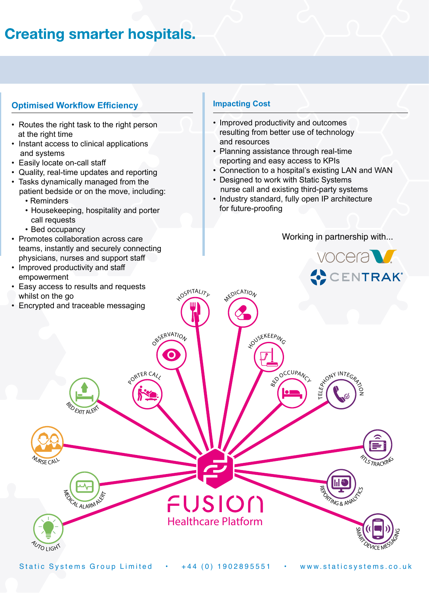## **Creating smarter hospitals.**

#### **Optimised Workflow Efficiency**

- Routes the right task to the right person at the right time
- Instant access to clinical applications and systems
- Easily locate on-call staff
- Quality, real-time updates and reporting
- Tasks dynamically managed from the patient bedside or on the move, including:
	- Reminders
	- Housekeeping, hospitality and porter call requests
	- Bed occupancy
- Promotes collaboration across care teams, instantly and securely connecting physicians, nurses and support staff
- Improved productivity and staff empowerment
- Easy access to results and requests whilst on the go
- Encrypted and traceable messaging

#### **Impacting Cost**

- Improved productivity and outcomes resulting from better use of technology and resources
- Planning assistance through real-time reporting and easy access to KPIs
- Connection to a hospital's existing LAN and WAN
- Designed to work with Static Systems nurse call and existing third-party systems
- Industry standard, fully open IP architecture for future-proofing

Working in partnership with...



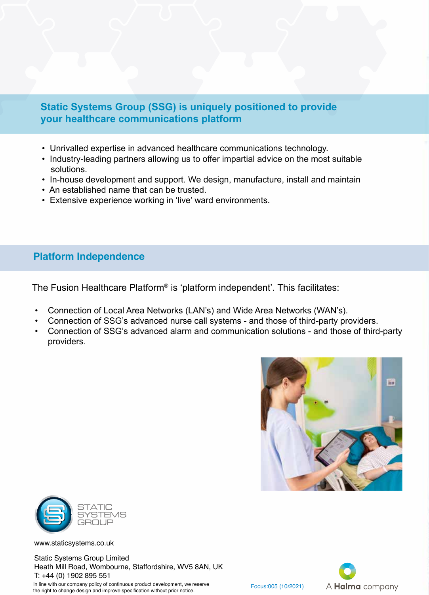#### **Static Systems Group (SSG) is uniquely positioned to provide your healthcare communications platform**

- Unrivalled expertise in advanced healthcare communications technology.
- Industry-leading partners allowing us to offer impartial advice on the most suitable solutions.
- In-house development and support. We design, manufacture, install and maintain
- An established name that can be trusted.
- Extensive experience working in 'live' ward environments.

#### **Platform Independence**

The Fusion Healthcare Platform<sup>®</sup> is 'platform independent'. This facilitates:

- Connection of Local Area Networks (LAN's) and Wide Area Networks (WAN's).
- Connection of SSG's advanced nurse call systems and those of third-party providers.
- Connection of SSG's advanced alarm and communication solutions and those of third-party providers.





www.staticsystems.co.uk

Static Systems Group Limited Heath Mill Road, Wombourne, Staffordshire, WV5 8AN, UK T: +44 (0) 1902 895 551

In line with our company policy of continuous product development, we reserve In line with our company policy of continuous product development, we reserve  $\frac{F_{\text{OCUS:005}}}{F_{\text{OCUS:005}}}$  (10/2021)